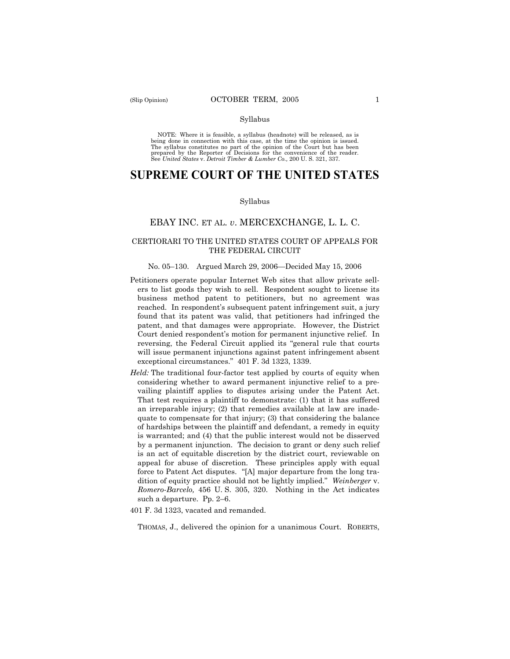#### Syllabus

NOTE: Where it is feasible, a syllabus (headnote) will be released, as is being done in connection with this case, at the time the opinion is issued. The syllabus constitutes no part of the opinion of the Court but has been<br>prepared by the Reporter of Decisions for the convenience of the reader.<br>See United States v. Detroit Timber & Lumber Co., 200 U. S. 321, 337.

# **SUPREME COURT OF THE UNITED STATES**

#### Syllabus

## EBAY INC. ET AL. *v*. MERCEXCHANGE, L. L. C.

### CERTIORARI TO THE UNITED STATES COURT OF APPEALS FOR THE FEDERAL CIRCUIT

#### No. 05–130. Argued March 29, 2006—Decided May 15, 2006

- Petitioners operate popular Internet Web sites that allow private sellers to list goods they wish to sell. Respondent sought to license its business method patent to petitioners, but no agreement was reached. In respondent's subsequent patent infringement suit, a jury found that its patent was valid, that petitioners had infringed the patent, and that damages were appropriate. However, the District Court denied respondent's motion for permanent injunctive relief. In reversing, the Federal Circuit applied its "general rule that courts will issue permanent injunctions against patent infringement absent exceptional circumstances." 401 F. 3d 1323, 1339.
- *Held:* The traditional four-factor test applied by courts of equity when considering whether to award permanent injunctive relief to a prevailing plaintiff applies to disputes arising under the Patent Act. That test requires a plaintiff to demonstrate: (1) that it has suffered an irreparable injury; (2) that remedies available at law are inadequate to compensate for that injury; (3) that considering the balance of hardships between the plaintiff and defendant, a remedy in equity is warranted; and (4) that the public interest would not be disserved by a permanent injunction. The decision to grant or deny such relief is an act of equitable discretion by the district court, reviewable on appeal for abuse of discretion. These principles apply with equal force to Patent Act disputes. "[A] major departure from the long tradition of equity practice should not be lightly implied." *Weinberger* v. *Romero-Barcelo,* 456 U. S. 305, 320. Nothing in the Act indicates such a departure. Pp. 2–6.
- 401 F. 3d 1323, vacated and remanded.

THOMAS, J., delivered the opinion for a unanimous Court. ROBERTS,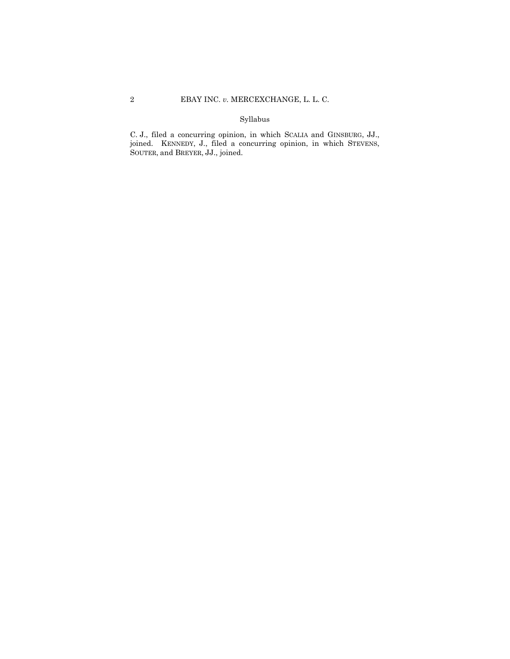# Syllabus

C. J., filed a concurring opinion, in which SCALIA and GINSBURG, JJ., joined. KENNEDY, J., filed a concurring opinion, in which STEVENS, SOUTER, and BREYER, JJ., joined.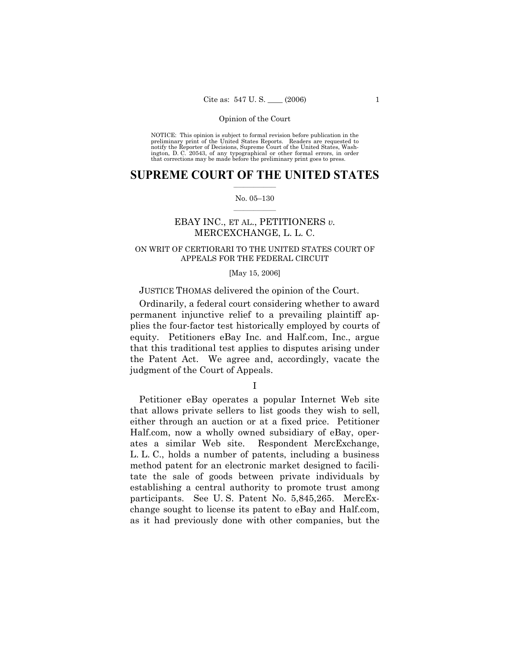NOTICE: This opinion is subject to formal revision before publication in the preliminary print of the United States Reports. Readers are requested to notify the Reporter of Decisions, Supreme Court of the United States, Washington, D. C. 20543, of any typographical or other formal errors, in order that corrections may be made before the preliminary print goes to press.

## $\frac{1}{2}$  , where  $\frac{1}{2}$ **SUPREME COURT OF THE UNITED STATES**

### $\mathcal{L}=\mathcal{L}$ No. 05–130

# EBAY INC., ET AL., PETITIONERS *v.* MERCEXCHANGE, L. L. C.

## ON WRIT OF CERTIORARI TO THE UNITED STATES COURT OF APPEALS FOR THE FEDERAL CIRCUIT

## [May 15, 2006]

## JUSTICE THOMAS delivered the opinion of the Court.

Ordinarily, a federal court considering whether to award permanent injunctive relief to a prevailing plaintiff applies the four-factor test historically employed by courts of equity. Petitioners eBay Inc. and Half.com, Inc., argue that this traditional test applies to disputes arising under the Patent Act. We agree and, accordingly, vacate the judgment of the Court of Appeals.

I

Petitioner eBay operates a popular Internet Web site that allows private sellers to list goods they wish to sell, either through an auction or at a fixed price. Petitioner Half.com, now a wholly owned subsidiary of eBay, operates a similar Web site. Respondent MercExchange, L. L. C., holds a number of patents, including a business method patent for an electronic market designed to facilitate the sale of goods between private individuals by establishing a central authority to promote trust among participants. See U. S. Patent No. 5,845,265. MercExchange sought to license its patent to eBay and Half.com, as it had previously done with other companies, but the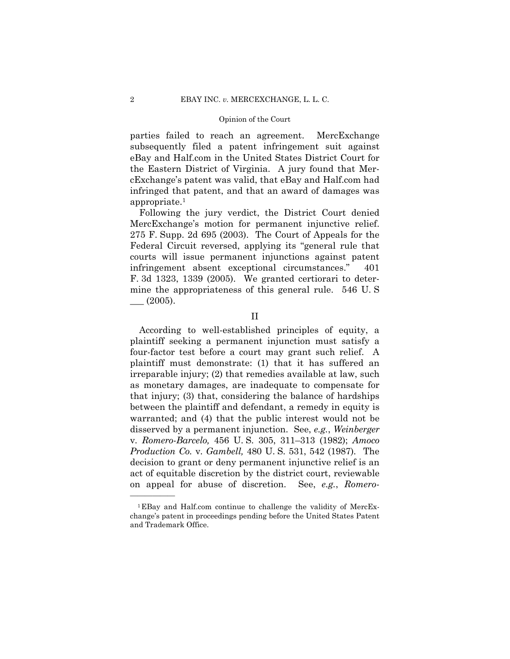parties failed to reach an agreement. MercExchange subsequently filed a patent infringement suit against eBay and Half.com in the United States District Court for the Eastern District of Virginia. A jury found that MercExchange's patent was valid, that eBay and Half.com had infringed that patent, and that an award of damages was appropriate.1

Following the jury verdict, the District Court denied MercExchange's motion for permanent injunctive relief. 275 F. Supp. 2d 695 (2003). The Court of Appeals for the Federal Circuit reversed, applying its "general rule that courts will issue permanent injunctions against patent infringement absent exceptional circumstances." 401 F. 3d 1323, 1339 (2005). We granted certiorari to determine the appropriateness of this general rule. 546 U. S  $(2005).$ 

II

According to well-established principles of equity, a plaintiff seeking a permanent injunction must satisfy a four-factor test before a court may grant such relief. A plaintiff must demonstrate: (1) that it has suffered an irreparable injury; (2) that remedies available at law, such as monetary damages, are inadequate to compensate for that injury; (3) that, considering the balance of hardships between the plaintiff and defendant, a remedy in equity is warranted; and (4) that the public interest would not be disserved by a permanent injunction. See, *e.g.*, *Weinberger*  v. *Romero-Barcelo,* 456 U. S. 305, 311–313 (1982); *Amoco Production Co.* v. *Gambell,* 480 U. S. 531, 542 (1987). The decision to grant or deny permanent injunctive relief is an act of equitable discretion by the district court, reviewable on appeal for abuse of discretion. See, *e.g.*, *Romero-*

——————

<sup>1</sup>EBay and Half.com continue to challenge the validity of MercExchange's patent in proceedings pending before the United States Patent and Trademark Office.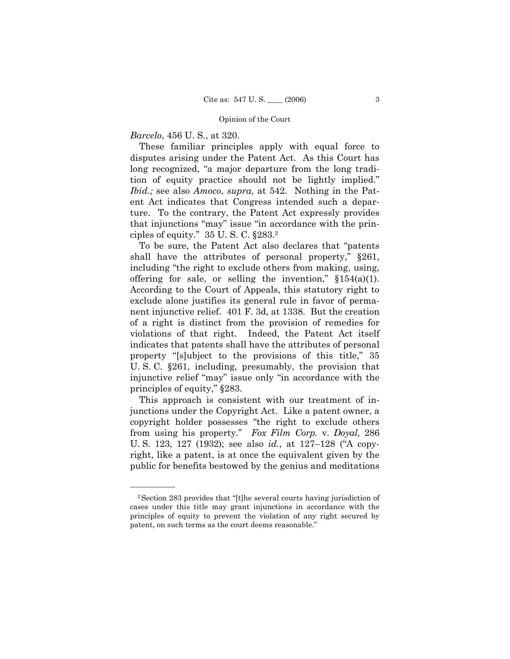*Barcelo*, 456 U. S., at 320.

——————

These familiar principles apply with equal force to disputes arising under the Patent Act. As this Court has long recognized, "a major departure from the long tradition of equity practice should not be lightly implied." *Ibid.;* see also *Amoco*, *supra*, at 542. Nothing in the Patent Act indicates that Congress intended such a departure. To the contrary, the Patent Act expressly provides that injunctions "may" issue "in accordance with the principles of equity."  $35 \text{ U}$ . S. C.  $\S 283.2$ 

To be sure, the Patent Act also declares that "patents shall have the attributes of personal property," §261, including "the right to exclude others from making, using, offering for sale, or selling the invention,"  $$154(a)(1)$ . According to the Court of Appeals, this statutory right to exclude alone justifies its general rule in favor of permanent injunctive relief. 401 F. 3d, at 1338. But the creation of a right is distinct from the provision of remedies for violations of that right. Indeed, the Patent Act itself indicates that patents shall have the attributes of personal property "[s]ubject to the provisions of this title," 35 U. S. C. §261, including, presumably, the provision that injunctive relief "may" issue only "in accordance with the principles of equity," §283.

This approach is consistent with our treatment of injunctions under the Copyright Act. Like a patent owner, a copyright holder possesses "the right to exclude others from using his property." *Fox Film Corp.* v. *Doyal,* 286 U. S. 123, 127 (1932); see also *id.*, at 127–128 ("A copyright, like a patent, is at once the equivalent given by the public for benefits bestowed by the genius and meditations

<sup>2</sup>Section 283 provides that "[t]he several courts having jurisdiction of cases under this title may grant injunctions in accordance with the principles of equity to prevent the violation of any right secured by patent, on such terms as the court deems reasonable."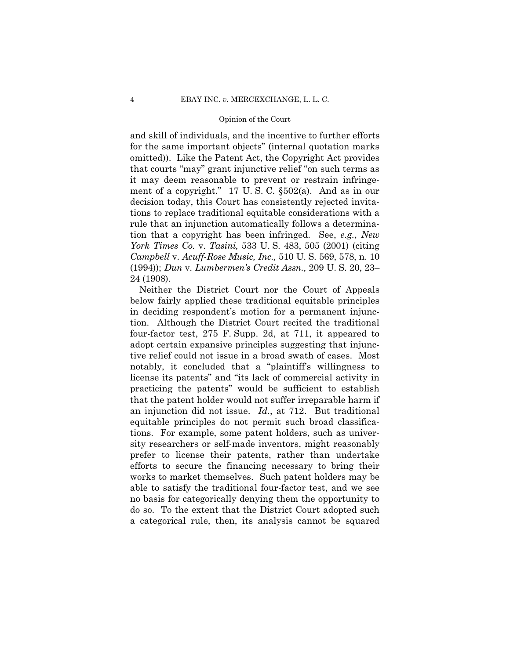and skill of individuals, and the incentive to further efforts for the same important objects" (internal quotation marks omitted)). Like the Patent Act, the Copyright Act provides that courts "may" grant injunctive relief "on such terms as it may deem reasonable to prevent or restrain infringement of a copyright." 17 U. S. C. §502(a). And as in our decision today, this Court has consistently rejected invitations to replace traditional equitable considerations with a rule that an injunction automatically follows a determination that a copyright has been infringed. See, *e.g.*, *New York Times Co.* v. *Tasini,* 533 U. S. 483, 505 (2001) (citing *Campbell* v. *Acuff-Rose Music, Inc.,* 510 U. S. 569, 578, n. 10 (1994)); *Dun* v. *Lumbermen's Credit Assn.,* 209 U. S. 20, 23– 24 (1908).

Neither the District Court nor the Court of Appeals below fairly applied these traditional equitable principles in deciding respondent's motion for a permanent injunction. Although the District Court recited the traditional four-factor test, 275 F. Supp. 2d, at 711, it appeared to adopt certain expansive principles suggesting that injunctive relief could not issue in a broad swath of cases. Most notably, it concluded that a "plaintiff's willingness to license its patents" and "its lack of commercial activity in practicing the patents" would be sufficient to establish that the patent holder would not suffer irreparable harm if an injunction did not issue. *Id.*, at 712. But traditional equitable principles do not permit such broad classifications. For example, some patent holders, such as university researchers or self-made inventors, might reasonably prefer to license their patents, rather than undertake efforts to secure the financing necessary to bring their works to market themselves. Such patent holders may be able to satisfy the traditional four-factor test, and we see no basis for categorically denying them the opportunity to do so. To the extent that the District Court adopted such a categorical rule, then, its analysis cannot be squared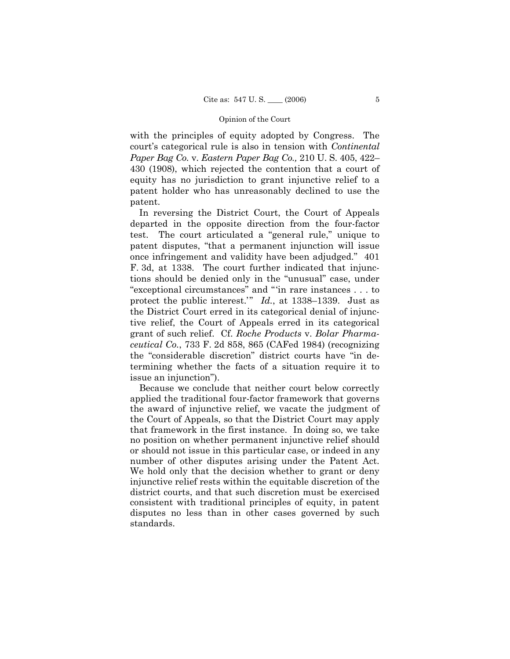with the principles of equity adopted by Congress. The court's categorical rule is also in tension with *Continental Paper Bag Co.* v. *Eastern Paper Bag Co.,* 210 U. S. 405, 422– 430 (1908), which rejected the contention that a court of equity has no jurisdiction to grant injunctive relief to a patent holder who has unreasonably declined to use the patent.

In reversing the District Court, the Court of Appeals departed in the opposite direction from the four-factor test. The court articulated a "general rule," unique to patent disputes, "that a permanent injunction will issue once infringement and validity have been adjudged." 401 F. 3d, at 1338. The court further indicated that injunctions should be denied only in the "unusual" case, under "exceptional circumstances" and "'in rare instances . . . to protect the public interest.'" *Id.*, at 1338–1339. Just as the District Court erred in its categorical denial of injunctive relief, the Court of Appeals erred in its categorical grant of such relief. Cf. *Roche Products* v. *Bolar Pharmaceutical Co.*, 733 F. 2d 858, 865 (CAFed 1984) (recognizing the "considerable discretion" district courts have "in determining whether the facts of a situation require it to issue an injunction").

Because we conclude that neither court below correctly applied the traditional four-factor framework that governs the award of injunctive relief, we vacate the judgment of the Court of Appeals, so that the District Court may apply that framework in the first instance. In doing so, we take no position on whether permanent injunctive relief should or should not issue in this particular case, or indeed in any number of other disputes arising under the Patent Act. We hold only that the decision whether to grant or deny injunctive relief rests within the equitable discretion of the district courts, and that such discretion must be exercised consistent with traditional principles of equity, in patent disputes no less than in other cases governed by such standards.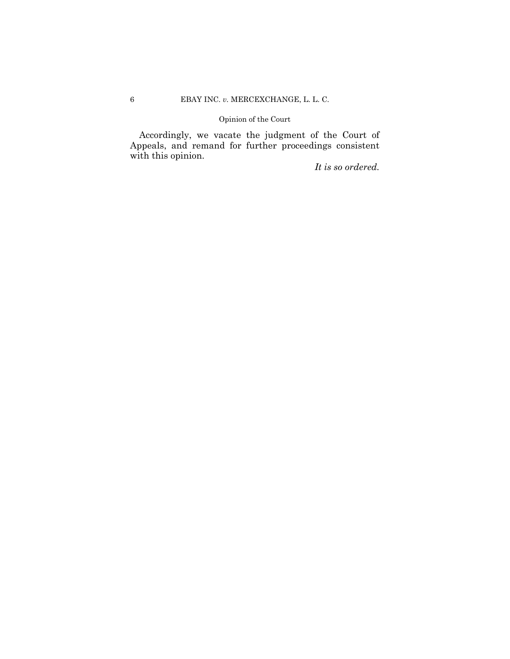Accordingly, we vacate the judgment of the Court of Appeals, and remand for further proceedings consistent with this opinion.

*It is so ordered.*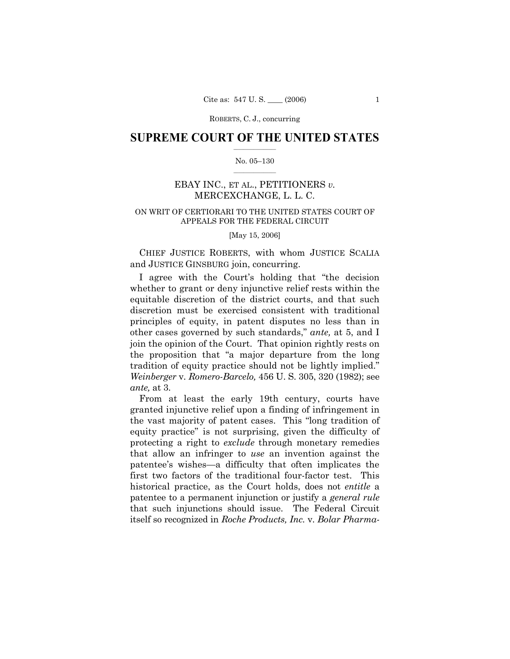ROBERTS, C. J., concurring

## $\frac{1}{2}$  , where  $\frac{1}{2}$ **SUPREME COURT OF THE UNITED STATES**

## $\mathcal{L}=\mathcal{L}$ No. 05–130

# EBAY INC., ET AL., PETITIONERS *v.* MERCEXCHANGE, L. L. C.

# ON WRIT OF CERTIORARI TO THE UNITED STATES COURT OF APPEALS FOR THE FEDERAL CIRCUIT

[May 15, 2006]

CHIEF JUSTICE ROBERTS, with whom JUSTICE SCALIA and JUSTICE GINSBURG join, concurring.

I agree with the Court's holding that "the decision whether to grant or deny injunctive relief rests within the equitable discretion of the district courts, and that such discretion must be exercised consistent with traditional principles of equity, in patent disputes no less than in other cases governed by such standards," *ante,* at 5, and I join the opinion of the Court. That opinion rightly rests on the proposition that "a major departure from the long tradition of equity practice should not be lightly implied." *Weinberger* v. *Romero-Barcelo,* 456 U. S. 305, 320 (1982); see *ante,* at 3.

From at least the early 19th century, courts have granted injunctive relief upon a finding of infringement in the vast majority of patent cases. This "long tradition of equity practice" is not surprising, given the difficulty of protecting a right to *exclude* through monetary remedies that allow an infringer to *use* an invention against the patentee's wishes—a difficulty that often implicates the first two factors of the traditional four-factor test. This historical practice, as the Court holds, does not *entitle* a patentee to a permanent injunction or justify a *general rule*  that such injunctions should issue. The Federal Circuit itself so recognized in *Roche Products, Inc.* v. *Bolar Pharma-*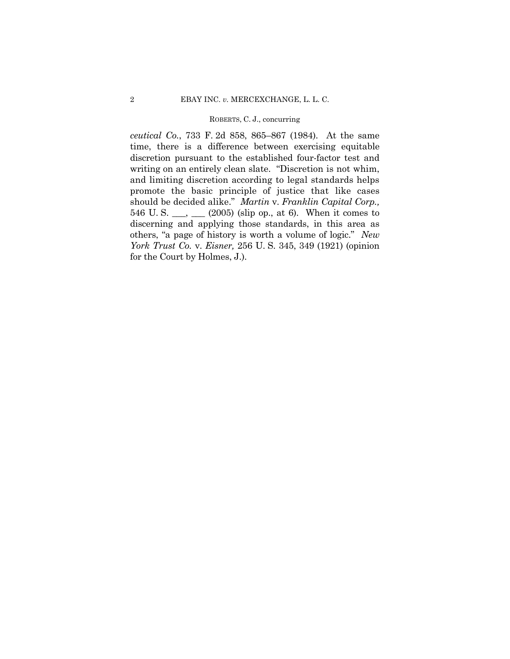## ROBERTS, C. J., concurring

*ceutical Co.*, 733 F. 2d 858, 865–867 (1984). At the same time, there is a difference between exercising equitable discretion pursuant to the established four-factor test and writing on an entirely clean slate. "Discretion is not whim, and limiting discretion according to legal standards helps promote the basic principle of justice that like cases should be decided alike." *Martin* v. *Franklin Capital Corp.,* 546 U.S.  $\frac{1}{2}$  (2005) (slip op., at 6). When it comes to discerning and applying those standards, in this area as others, "a page of history is worth a volume of logic." *New York Trust Co.* v. *Eisner,* 256 U. S. 345, 349 (1921) (opinion for the Court by Holmes, J.).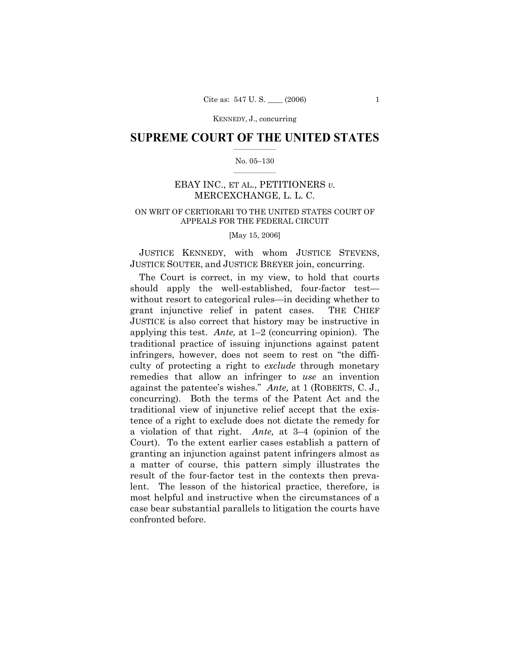KENNEDY, J., concurring

## $\frac{1}{2}$  , where  $\frac{1}{2}$ **SUPREME COURT OF THE UNITED STATES**

## $\mathcal{L}=\mathcal{L}$ No. 05–130

# EBAY INC., ET AL., PETITIONERS *v.* MERCEXCHANGE, L. L. C.

# ON WRIT OF CERTIORARI TO THE UNITED STATES COURT OF APPEALS FOR THE FEDERAL CIRCUIT

[May 15, 2006]

JUSTICE KENNEDY, with whom JUSTICE STEVENS, JUSTICE SOUTER, and JUSTICE BREYER join, concurring.

The Court is correct, in my view, to hold that courts should apply the well-established, four-factor test without resort to categorical rules—in deciding whether to grant injunctive relief in patent cases. THE CHIEF JUSTICE is also correct that history may be instructive in applying this test. *Ante,* at 1–2 (concurring opinion). The traditional practice of issuing injunctions against patent infringers, however, does not seem to rest on "the difficulty of protecting a right to *exclude* through monetary remedies that allow an infringer to *use* an invention against the patentee's wishes." *Ante,* at 1 (ROBERTS, C. J., concurring). Both the terms of the Patent Act and the traditional view of injunctive relief accept that the existence of a right to exclude does not dictate the remedy for a violation of that right. *Ante,* at 3–4 (opinion of the Court). To the extent earlier cases establish a pattern of granting an injunction against patent infringers almost as a matter of course, this pattern simply illustrates the result of the four-factor test in the contexts then prevalent. The lesson of the historical practice, therefore, is most helpful and instructive when the circumstances of a case bear substantial parallels to litigation the courts have confronted before.